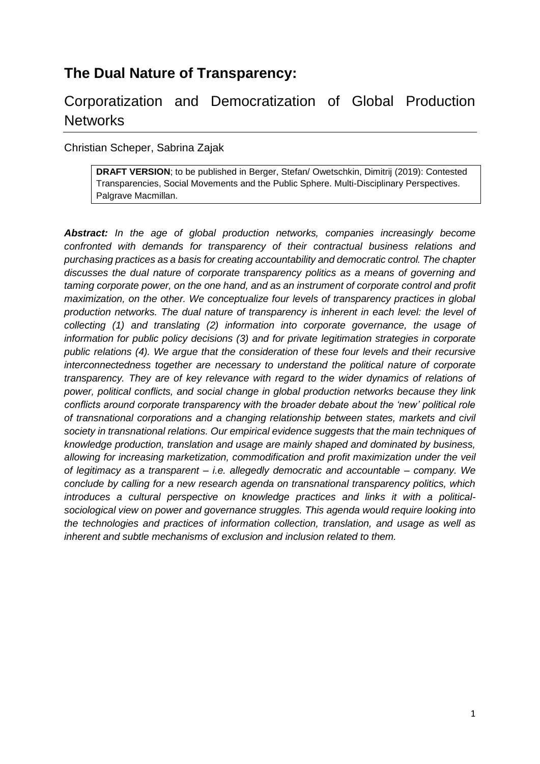# **The Dual Nature of Transparency:**

# Corporatization and Democratization of Global Production **Networks**

Christian Scheper, Sabrina Zajak

**DRAFT VERSION**; to be published in Berger, Stefan/ Owetschkin, Dimitrij (2019): Contested Transparencies, Social Movements and the Public Sphere. Multi-Disciplinary Perspectives. Palgrave Macmillan.

*Abstract: In the age of global production networks, companies increasingly become confronted with demands for transparency of their contractual business relations and purchasing practices as a basis for creating accountability and democratic control. The chapter discusses the dual nature of corporate transparency politics as a means of governing and taming corporate power, on the one hand, and as an instrument of corporate control and profit maximization, on the other. We conceptualize four levels of transparency practices in global production networks. The dual nature of transparency is inherent in each level: the level of collecting (1) and translating (2) information into corporate governance, the usage of information for public policy decisions (3) and for private legitimation strategies in corporate public relations (4). We argue that the consideration of these four levels and their recursive interconnectedness together are necessary to understand the political nature of corporate transparency. They are of key relevance with regard to the wider dynamics of relations of power, political conflicts, and social change in global production networks because they link conflicts around corporate transparency with the broader debate about the 'new' political role of transnational corporations and a changing relationship between states, markets and civil society in transnational relations. Our empirical evidence suggests that the main techniques of knowledge production, translation and usage are mainly shaped and dominated by business, allowing for increasing marketization, commodification and profit maximization under the veil of legitimacy as a transparent – i.e. allegedly democratic and accountable – company. We conclude by calling for a new research agenda on transnational transparency politics, which introduces a cultural perspective on knowledge practices and links it with a politicalsociological view on power and governance struggles. This agenda would require looking into the technologies and practices of information collection, translation, and usage as well as inherent and subtle mechanisms of exclusion and inclusion related to them.*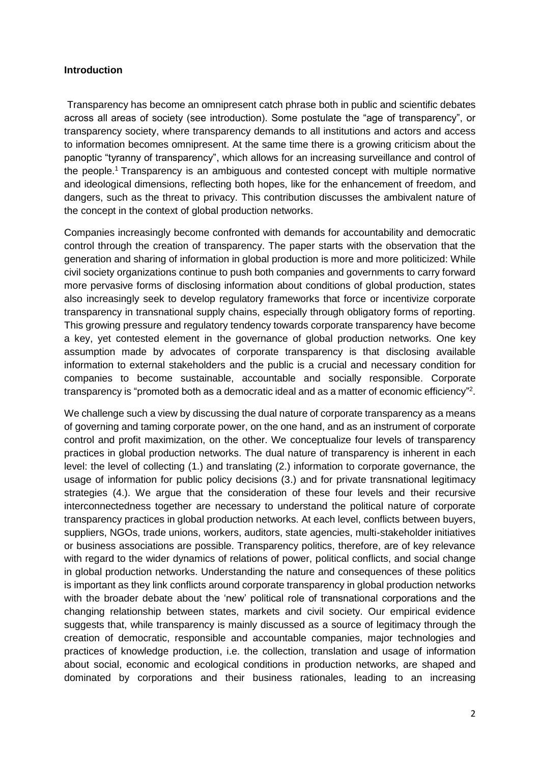#### **Introduction**

Transparency has become an omnipresent catch phrase both in public and scientific debates across all areas of society (see introduction). Some postulate the "age of transparency", or transparency society, where transparency demands to all institutions and actors and access to information becomes omnipresent. At the same time there is a growing criticism about the panoptic "tyranny of transparency", which allows for an increasing surveillance and control of the people. <sup>1</sup> Transparency is an ambiguous and contested concept with multiple normative and ideological dimensions, reflecting both hopes, like for the enhancement of freedom, and dangers, such as the threat to privacy. This contribution discusses the ambivalent nature of the concept in the context of global production networks.

Companies increasingly become confronted with demands for accountability and democratic control through the creation of transparency. The paper starts with the observation that the generation and sharing of information in global production is more and more politicized: While civil society organizations continue to push both companies and governments to carry forward more pervasive forms of disclosing information about conditions of global production, states also increasingly seek to develop regulatory frameworks that force or incentivize corporate transparency in transnational supply chains, especially through obligatory forms of reporting. This growing pressure and regulatory tendency towards corporate transparency have become a key, yet contested element in the governance of global production networks. One key assumption made by advocates of corporate transparency is that disclosing available information to external stakeholders and the public is a crucial and necessary condition for companies to become sustainable, accountable and socially responsible. Corporate transparency is "promoted both as a democratic ideal and as a matter of economic efficiency"<sup>2</sup>.

We challenge such a view by discussing the dual nature of corporate transparency as a means of governing and taming corporate power, on the one hand, and as an instrument of corporate control and profit maximization, on the other. We conceptualize four levels of transparency practices in global production networks. The dual nature of transparency is inherent in each level: the level of collecting (1.) and translating (2.) information to corporate governance, the usage of information for public policy decisions (3.) and for private transnational legitimacy strategies (4.). We argue that the consideration of these four levels and their recursive interconnectedness together are necessary to understand the political nature of corporate transparency practices in global production networks. At each level, conflicts between buyers, suppliers, NGOs, trade unions, workers, auditors, state agencies, multi-stakeholder initiatives or business associations are possible. Transparency politics, therefore, are of key relevance with regard to the wider dynamics of relations of power, political conflicts, and social change in global production networks. Understanding the nature and consequences of these politics is important as they link conflicts around corporate transparency in global production networks with the broader debate about the 'new' political role of transnational corporations and the changing relationship between states, markets and civil society. Our empirical evidence suggests that, while transparency is mainly discussed as a source of legitimacy through the creation of democratic, responsible and accountable companies, major technologies and practices of knowledge production, i.e. the collection, translation and usage of information about social, economic and ecological conditions in production networks, are shaped and dominated by corporations and their business rationales, leading to an increasing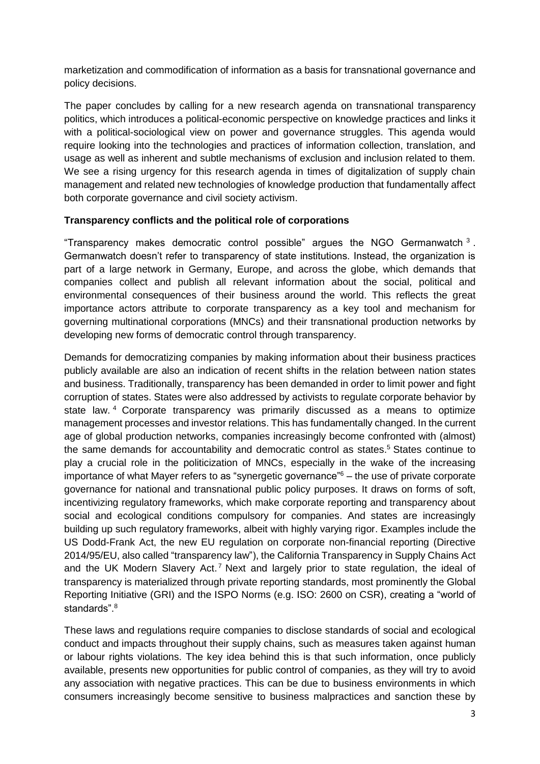marketization and commodification of information as a basis for transnational governance and policy decisions.

The paper concludes by calling for a new research agenda on transnational transparency politics, which introduces a political-economic perspective on knowledge practices and links it with a political-sociological view on power and governance struggles. This agenda would require looking into the technologies and practices of information collection, translation, and usage as well as inherent and subtle mechanisms of exclusion and inclusion related to them. We see a rising urgency for this research agenda in times of digitalization of supply chain management and related new technologies of knowledge production that fundamentally affect both corporate governance and civil society activism.

## **Transparency conflicts and the political role of corporations**

"Transparency makes democratic control possible" argues the NGO Germanwatch  $3$ . Germanwatch doesn't refer to transparency of state institutions. Instead, the organization is part of a large network in Germany, Europe, and across the globe, which demands that companies collect and publish all relevant information about the social, political and environmental consequences of their business around the world. This reflects the great importance actors attribute to corporate transparency as a key tool and mechanism for governing multinational corporations (MNCs) and their transnational production networks by developing new forms of democratic control through transparency.

Demands for democratizing companies by making information about their business practices publicly available are also an indication of recent shifts in the relation between nation states and business. Traditionally, transparency has been demanded in order to limit power and fight corruption of states. States were also addressed by activists to regulate corporate behavior by state law. <sup>4</sup> Corporate transparency was primarily discussed as a means to optimize management processes and investor relations. This has fundamentally changed. In the current age of global production networks, companies increasingly become confronted with (almost) the same demands for accountability and democratic control as states. <sup>5</sup> States continue to play a crucial role in the politicization of MNCs, especially in the wake of the increasing importance of what Mayer refers to as "synergetic governance" $6 -$  the use of private corporate governance for national and transnational public policy purposes. It draws on forms of soft, incentivizing regulatory frameworks, which make corporate reporting and transparency about social and ecological conditions compulsory for companies. And states are increasingly building up such regulatory frameworks, albeit with highly varying rigor. Examples include the US Dodd-Frank Act, the new EU regulation on corporate non-financial reporting (Directive 2014/95/EU, also called "transparency law"), the California Transparency in Supply Chains Act and the UK Modern Slavery Act.<sup>7</sup> Next and largely prior to state regulation, the ideal of transparency is materialized through private reporting standards, most prominently the Global Reporting Initiative (GRI) and the ISPO Norms (e.g. ISO: 2600 on CSR), creating a "world of standards". 8

These laws and regulations require companies to disclose standards of social and ecological conduct and impacts throughout their supply chains, such as measures taken against human or labour rights violations. The key idea behind this is that such information, once publicly available, presents new opportunities for public control of companies, as they will try to avoid any association with negative practices. This can be due to business environments in which consumers increasingly become sensitive to business malpractices and sanction these by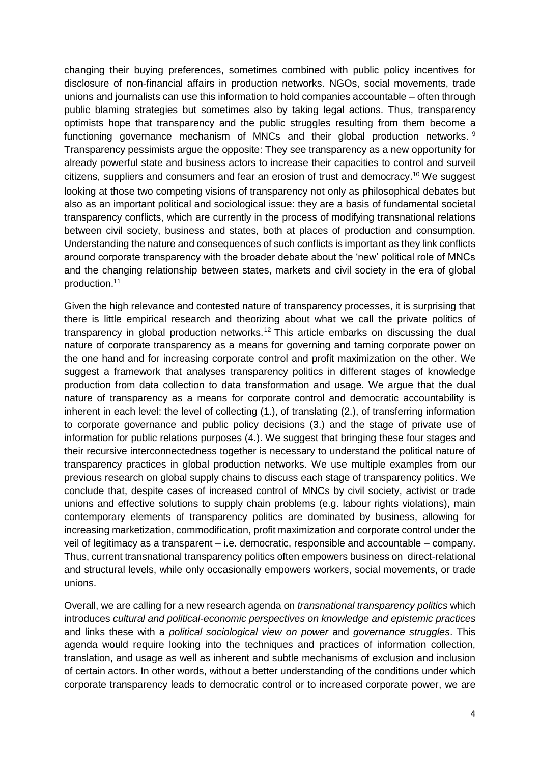changing their buying preferences, sometimes combined with public policy incentives for disclosure of non-financial affairs in production networks. NGOs, social movements, trade unions and journalists can use this information to hold companies accountable – often through public blaming strategies but sometimes also by taking legal actions. Thus, transparency optimists hope that transparency and the public struggles resulting from them become a functioning governance mechanism of MNCs and their global production networks. <sup>9</sup> Transparency pessimists argue the opposite: They see transparency as a new opportunity for already powerful state and business actors to increase their capacities to control and surveil citizens, suppliers and consumers and fear an erosion of trust and democracy. <sup>10</sup> We suggest looking at those two competing visions of transparency not only as philosophical debates but also as an important political and sociological issue: they are a basis of fundamental societal transparency conflicts, which are currently in the process of modifying transnational relations between civil society, business and states, both at places of production and consumption. Understanding the nature and consequences of such conflicts is important as they link conflicts around corporate transparency with the broader debate about the 'new' political role of MNCs and the changing relationship between states, markets and civil society in the era of global production. 11

Given the high relevance and contested nature of transparency processes, it is surprising that there is little empirical research and theorizing about what we call the private politics of transparency in global production networks.<sup>12</sup> This article embarks on discussing the dual nature of corporate transparency as a means for governing and taming corporate power on the one hand and for increasing corporate control and profit maximization on the other. We suggest a framework that analyses transparency politics in different stages of knowledge production from data collection to data transformation and usage. We argue that the dual nature of transparency as a means for corporate control and democratic accountability is inherent in each level: the level of collecting (1.), of translating (2.), of transferring information to corporate governance and public policy decisions (3.) and the stage of private use of information for public relations purposes (4.). We suggest that bringing these four stages and their recursive interconnectedness together is necessary to understand the political nature of transparency practices in global production networks. We use multiple examples from our previous research on global supply chains to discuss each stage of transparency politics. We conclude that, despite cases of increased control of MNCs by civil society, activist or trade unions and effective solutions to supply chain problems (e.g. labour rights violations), main contemporary elements of transparency politics are dominated by business, allowing for increasing marketization, commodification, profit maximization and corporate control under the veil of legitimacy as a transparent – i.e. democratic, responsible and accountable – company. Thus, current transnational transparency politics often empowers business on direct-relational and structural levels, while only occasionally empowers workers, social movements, or trade unions.

Overall, we are calling for a new research agenda on *transnational transparency politics* which introduces *cultural and political-economic perspectives on knowledge and epistemic practices* and links these with a *political sociological view on power* and *governance struggles*. This agenda would require looking into the techniques and practices of information collection, translation, and usage as well as inherent and subtle mechanisms of exclusion and inclusion of certain actors. In other words, without a better understanding of the conditions under which corporate transparency leads to democratic control or to increased corporate power, we are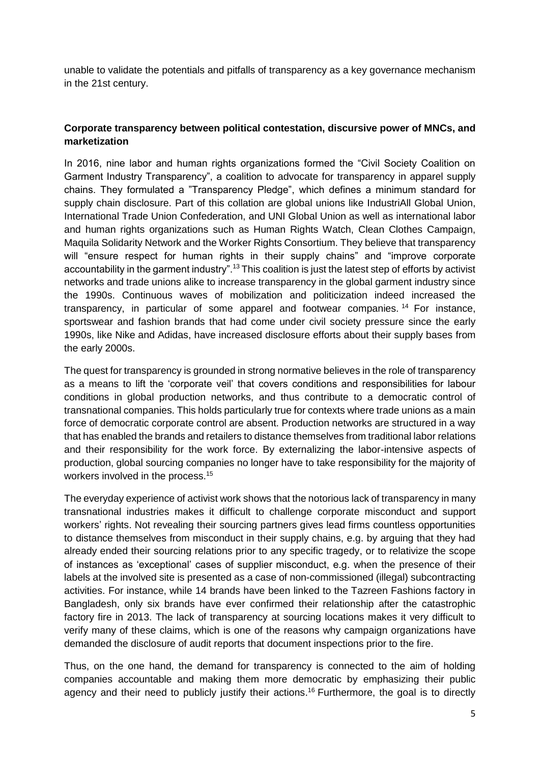unable to validate the potentials and pitfalls of transparency as a key governance mechanism in the 21st century.

# **Corporate transparency between political contestation, discursive power of MNCs, and marketization**

In 2016, nine labor and human rights organizations formed the "Civil Society Coalition on Garment Industry Transparency", a coalition to advocate for transparency in apparel supply chains. They formulated a "Transparency Pledge", which defines a minimum standard for supply chain disclosure. Part of this collation are global unions like IndustriAll Global Union, International Trade Union Confederation, and UNI Global Union as well as international labor and human rights organizations such as Human Rights Watch, Clean Clothes Campaign, Maquila Solidarity Network and the Worker Rights Consortium. They believe that transparency will "ensure respect for human rights in their supply chains" and "improve corporate accountability in the garment industry".<sup>13</sup> This coalition is just the latest step of efforts by activist networks and trade unions alike to increase transparency in the global garment industry since the 1990s. Continuous waves of mobilization and politicization indeed increased the transparency, in particular of some apparel and footwear companies. <sup>14</sup> For instance, sportswear and fashion brands that had come under civil society pressure since the early 1990s, like Nike and Adidas, have increased disclosure efforts about their supply bases from the early 2000s.

The quest for transparency is grounded in strong normative believes in the role of transparency as a means to lift the 'corporate veil' that covers conditions and responsibilities for labour conditions in global production networks, and thus contribute to a democratic control of transnational companies. This holds particularly true for contexts where trade unions as a main force of democratic corporate control are absent. Production networks are structured in a way that has enabled the brands and retailers to distance themselves from traditional labor relations and their responsibility for the work force. By externalizing the labor-intensive aspects of production, global sourcing companies no longer have to take responsibility for the majority of workers involved in the process.<sup>15</sup>

The everyday experience of activist work shows that the notorious lack of transparency in many transnational industries makes it difficult to challenge corporate misconduct and support workers' rights. Not revealing their sourcing partners gives lead firms countless opportunities to distance themselves from misconduct in their supply chains, e.g. by arguing that they had already ended their sourcing relations prior to any specific tragedy, or to relativize the scope of instances as 'exceptional' cases of supplier misconduct, e.g. when the presence of their labels at the involved site is presented as a case of non-commissioned (illegal) subcontracting activities. For instance, while 14 brands have been linked to the Tazreen Fashions factory in Bangladesh, only six brands have ever confirmed their relationship after the catastrophic factory fire in 2013. The lack of transparency at sourcing locations makes it very difficult to verify many of these claims, which is one of the reasons why campaign organizations have demanded the disclosure of audit reports that document inspections prior to the fire.

Thus, on the one hand, the demand for transparency is connected to the aim of holding companies accountable and making them more democratic by emphasizing their public agency and their need to publicly justify their actions.<sup>16</sup> Furthermore, the goal is to directly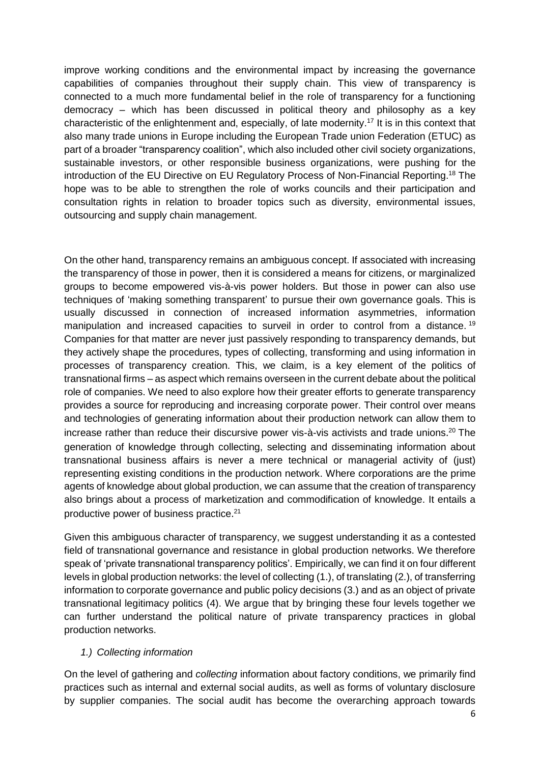improve working conditions and the environmental impact by increasing the governance capabilities of companies throughout their supply chain. This view of transparency is connected to a much more fundamental belief in the role of transparency for a functioning democracy – which has been discussed in political theory and philosophy as a key characteristic of the enlightenment and, especially, of late modernity. <sup>17</sup> It is in this context that also many trade unions in Europe including the European Trade union Federation (ETUC) as part of a broader "transparency coalition", which also included other civil society organizations, sustainable investors, or other responsible business organizations, were pushing for the introduction of the EU Directive on EU Regulatory Process of Non-Financial Reporting. <sup>18</sup> The hope was to be able to strengthen the role of works councils and their participation and consultation rights in relation to broader topics such as diversity, environmental issues, outsourcing and supply chain management.

On the other hand, transparency remains an ambiguous concept. If associated with increasing the transparency of those in power, then it is considered a means for citizens, or marginalized groups to become empowered vis-à-vis power holders. But those in power can also use techniques of 'making something transparent' to pursue their own governance goals. This is usually discussed in connection of increased information asymmetries, information manipulation and increased capacities to surveil in order to control from a distance.<sup>19</sup> Companies for that matter are never just passively responding to transparency demands, but they actively shape the procedures, types of collecting, transforming and using information in processes of transparency creation. This, we claim, is a key element of the politics of transnational firms – as aspect which remains overseen in the current debate about the political role of companies. We need to also explore how their greater efforts to generate transparency provides a source for reproducing and increasing corporate power. Their control over means and technologies of generating information about their production network can allow them to increase rather than reduce their discursive power vis-à-vis activists and trade unions. <sup>20</sup> The generation of knowledge through collecting, selecting and disseminating information about transnational business affairs is never a mere technical or managerial activity of (just) representing existing conditions in the production network. Where corporations are the prime agents of knowledge about global production, we can assume that the creation of transparency also brings about a process of marketization and commodification of knowledge. It entails a productive power of business practice. 21

Given this ambiguous character of transparency, we suggest understanding it as a contested field of transnational governance and resistance in global production networks. We therefore speak of 'private transnational transparency politics'. Empirically, we can find it on four different levels in global production networks: the level of collecting (1.), of translating (2.), of transferring information to corporate governance and public policy decisions (3.) and as an object of private transnational legitimacy politics (4). We argue that by bringing these four levels together we can further understand the political nature of private transparency practices in global production networks.

# *1.) Collecting information*

On the level of gathering and *collecting* information about factory conditions, we primarily find practices such as internal and external social audits, as well as forms of voluntary disclosure by supplier companies. The social audit has become the overarching approach towards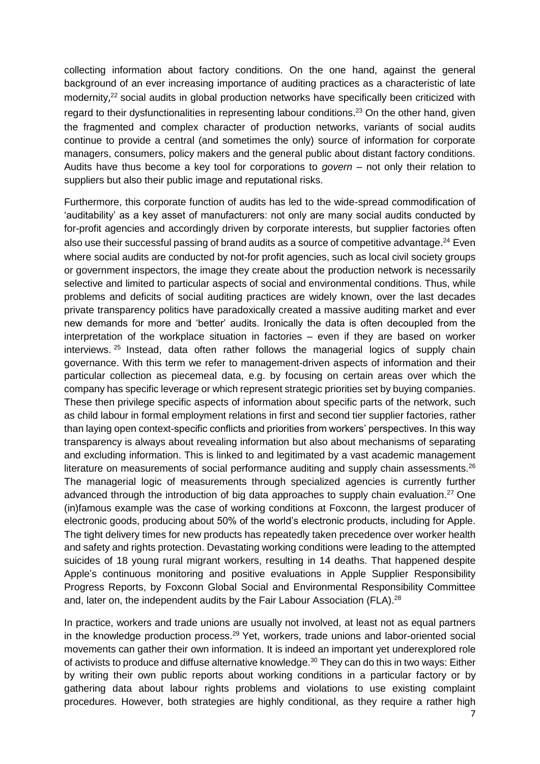collecting information about factory conditions. On the one hand, against the general background of an ever increasing importance of auditing practices as a characteristic of late modernity, <sup>22</sup> social audits in global production networks have specifically been criticized with regard to their dysfunctionalities in representing labour conditions.<sup>23</sup> On the other hand, given the fragmented and complex character of production networks, variants of social audits continue to provide a central (and sometimes the only) source of information for corporate managers, consumers, policy makers and the general public about distant factory conditions. Audits have thus become a key tool for corporations to *govern* – not only their relation to suppliers but also their public image and reputational risks.

Furthermore, this corporate function of audits has led to the wide-spread commodification of 'auditability' as a key asset of manufacturers: not only are many social audits conducted by for-profit agencies and accordingly driven by corporate interests, but supplier factories often also use their successful passing of brand audits as a source of competitive advantage.<sup>24</sup> Even where social audits are conducted by not-for profit agencies, such as local civil society groups or government inspectors, the image they create about the production network is necessarily selective and limited to particular aspects of social and environmental conditions. Thus, while problems and deficits of social auditing practices are widely known, over the last decades private transparency politics have paradoxically created a massive auditing market and ever new demands for more and 'better' audits. Ironically the data is often decoupled from the interpretation of the workplace situation in factories – even if they are based on worker interviews.<sup>25</sup> Instead, data often rather follows the managerial logics of supply chain governance. With this term we refer to management-driven aspects of information and their particular collection as piecemeal data, e.g. by focusing on certain areas over which the company has specific leverage or which represent strategic priorities set by buying companies. These then privilege specific aspects of information about specific parts of the network, such as child labour in formal employment relations in first and second tier supplier factories, rather than laying open context-specific conflicts and priorities from workers' perspectives. In this way transparency is always about revealing information but also about mechanisms of separating and excluding information. This is linked to and legitimated by a vast academic management literature on measurements of social performance auditing and supply chain assessments.<sup>26</sup> The managerial logic of measurements through specialized agencies is currently further advanced through the introduction of big data approaches to supply chain evaluation.<sup>27</sup> One (in)famous example was the case of working conditions at Foxconn, the largest producer of electronic goods, producing about 50% of the world's electronic products, including for Apple. The tight delivery times for new products has repeatedly taken precedence over worker health and safety and rights protection. Devastating working conditions were leading to the attempted suicides of 18 young rural migrant workers, resulting in 14 deaths. That happened despite Apple's continuous monitoring and positive evaluations in Apple Supplier Responsibility Progress Reports, by Foxconn Global Social and Environmental Responsibility Committee and, later on, the independent audits by the Fair Labour Association (FLA).<sup>28</sup>

In practice, workers and trade unions are usually not involved, at least not as equal partners in the knowledge production process.<sup>29</sup> Yet, workers, trade unions and labor-oriented social movements can gather their own information. It is indeed an important yet underexplored role of activists to produce and diffuse alternative knowledge.<sup>30</sup> They can do this in two ways: Either by writing their own public reports about working conditions in a particular factory or by gathering data about labour rights problems and violations to use existing complaint procedures. However, both strategies are highly conditional, as they require a rather high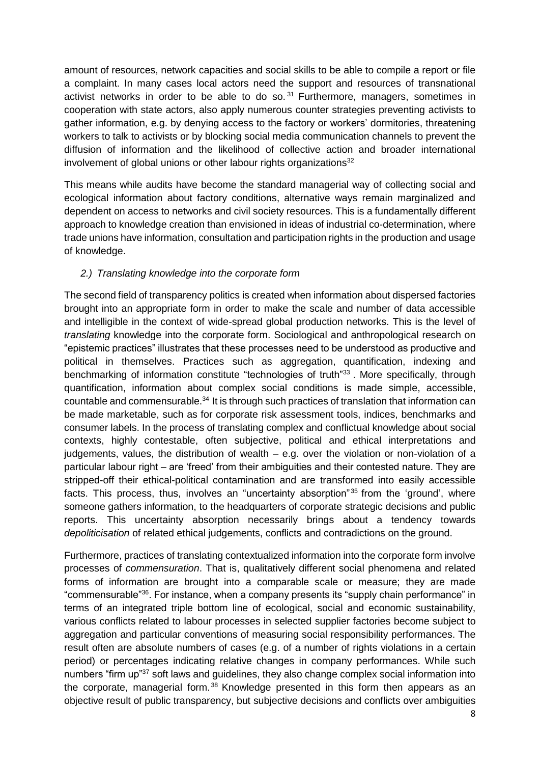amount of resources, network capacities and social skills to be able to compile a report or file a complaint. In many cases local actors need the support and resources of transnational activist networks in order to be able to do so. $31$  Furthermore, managers, sometimes in cooperation with state actors, also apply numerous counter strategies preventing activists to gather information, e.g. by denying access to the factory or workers' dormitories, threatening workers to talk to activists or by blocking social media communication channels to prevent the diffusion of information and the likelihood of collective action and broader international involvement of global unions or other labour rights organizations $32$ 

This means while audits have become the standard managerial way of collecting social and ecological information about factory conditions, alternative ways remain marginalized and dependent on access to networks and civil society resources. This is a fundamentally different approach to knowledge creation than envisioned in ideas of industrial co-determination, where trade unions have information, consultation and participation rights in the production and usage of knowledge.

# *2.) Translating knowledge into the corporate form*

The second field of transparency politics is created when information about dispersed factories brought into an appropriate form in order to make the scale and number of data accessible and intelligible in the context of wide-spread global production networks. This is the level of *translating* knowledge into the corporate form. Sociological and anthropological research on "epistemic practices" illustrates that these processes need to be understood as productive and political in themselves. Practices such as aggregation, quantification, indexing and benchmarking of information constitute "technologies of truth"<sup>33</sup>. More specifically, through quantification, information about complex social conditions is made simple, accessible, countable and commensurable.<sup>34</sup> It is through such practices of translation that information can be made marketable, such as for corporate risk assessment tools, indices, benchmarks and consumer labels. In the process of translating complex and conflictual knowledge about social contexts, highly contestable, often subjective, political and ethical interpretations and judgements, values, the distribution of wealth – e.g. over the violation or non-violation of a particular labour right – are 'freed' from their ambiguities and their contested nature. They are stripped-off their ethical-political contamination and are transformed into easily accessible facts. This process, thus, involves an "uncertainty absorption"<sup>35</sup> from the 'ground', where someone gathers information, to the headquarters of corporate strategic decisions and public reports. This uncertainty absorption necessarily brings about a tendency towards *depoliticisation* of related ethical judgements, conflicts and contradictions on the ground.

Furthermore, practices of translating contextualized information into the corporate form involve processes of *commensuration*. That is, qualitatively different social phenomena and related forms of information are brought into a comparable scale or measure; they are made "commensurable"<sup>36</sup>. For instance, when a company presents its "supply chain performance" in terms of an integrated triple bottom line of ecological, social and economic sustainability, various conflicts related to labour processes in selected supplier factories become subject to aggregation and particular conventions of measuring social responsibility performances. The result often are absolute numbers of cases (e.g. of a number of rights violations in a certain period) or percentages indicating relative changes in company performances. While such numbers "firm up"<sup>37</sup> soft laws and guidelines, they also change complex social information into the corporate, managerial form.<sup>38</sup> Knowledge presented in this form then appears as an objective result of public transparency, but subjective decisions and conflicts over ambiguities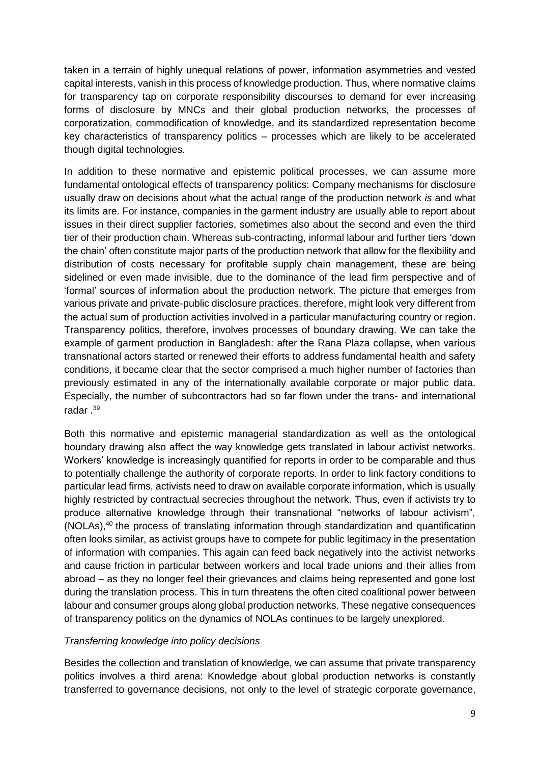taken in a terrain of highly unequal relations of power, information asymmetries and vested capital interests, vanish in this process of knowledge production. Thus, where normative claims for transparency tap on corporate responsibility discourses to demand for ever increasing forms of disclosure by MNCs and their global production networks, the processes of corporatization, commodification of knowledge, and its standardized representation become key characteristics of transparency politics – processes which are likely to be accelerated though digital technologies.

In addition to these normative and epistemic political processes, we can assume more fundamental ontological effects of transparency politics: Company mechanisms for disclosure usually draw on decisions about what the actual range of the production network *is* and what its limits are. For instance, companies in the garment industry are usually able to report about issues in their direct supplier factories, sometimes also about the second and even the third tier of their production chain. Whereas sub-contracting, informal labour and further tiers 'down the chain' often constitute major parts of the production network that allow for the flexibility and distribution of costs necessary for profitable supply chain management, these are being sidelined or even made invisible, due to the dominance of the lead firm perspective and of 'formal' sources of information about the production network. The picture that emerges from various private and private-public disclosure practices, therefore, might look very different from the actual sum of production activities involved in a particular manufacturing country or region. Transparency politics, therefore, involves processes of boundary drawing. We can take the example of garment production in Bangladesh: after the Rana Plaza collapse, when various transnational actors started or renewed their efforts to address fundamental health and safety conditions, it became clear that the sector comprised a much higher number of factories than previously estimated in any of the internationally available corporate or major public data. Especially, the number of subcontractors had so far flown under the trans- and international <sup>39</sup>. radar

Both this normative and epistemic managerial standardization as well as the ontological boundary drawing also affect the way knowledge gets translated in labour activist networks. Workers' knowledge is increasingly quantified for reports in order to be comparable and thus to potentially challenge the authority of corporate reports. In order to link factory conditions to particular lead firms, activists need to draw on available corporate information, which is usually highly restricted by contractual secrecies throughout the network. Thus, even if activists try to produce alternative knowledge through their transnational "networks of labour activism", (NOLAs),<sup>40</sup> the process of translating information through standardization and quantification often looks similar, as activist groups have to compete for public legitimacy in the presentation of information with companies. This again can feed back negatively into the activist networks and cause friction in particular between workers and local trade unions and their allies from abroad – as they no longer feel their grievances and claims being represented and gone lost during the translation process. This in turn threatens the often cited coalitional power between labour and consumer groups along global production networks. These negative consequences of transparency politics on the dynamics of NOLAs continues to be largely unexplored.

### *Transferring knowledge into policy decisions*

Besides the collection and translation of knowledge, we can assume that private transparency politics involves a third arena: Knowledge about global production networks is constantly transferred to governance decisions, not only to the level of strategic corporate governance,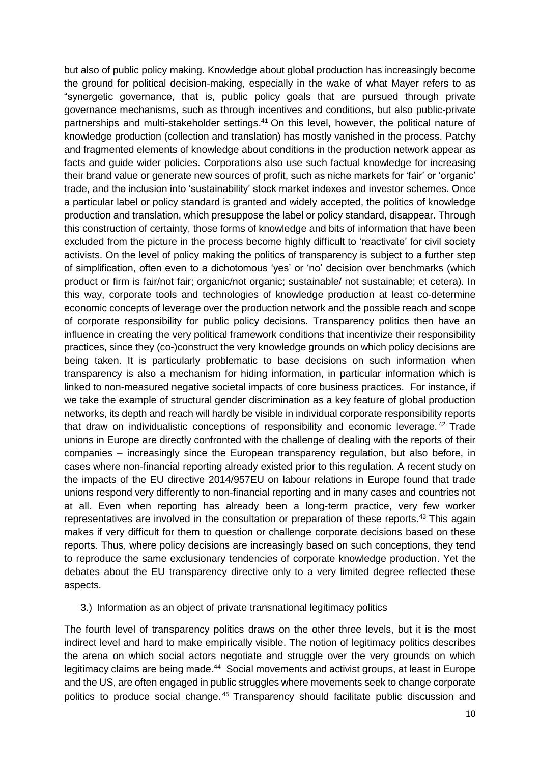but also of public policy making. Knowledge about global production has increasingly become the ground for political decision-making, especially in the wake of what Mayer refers to as "synergetic governance, that is, public policy goals that are pursued through private governance mechanisms, such as through incentives and conditions, but also public-private partnerships and multi-stakeholder settings.<sup>41</sup> On this level, however, the political nature of knowledge production (collection and translation) has mostly vanished in the process. Patchy and fragmented elements of knowledge about conditions in the production network appear as facts and guide wider policies. Corporations also use such factual knowledge for increasing their brand value or generate new sources of profit, such as niche markets for 'fair' or 'organic' trade, and the inclusion into 'sustainability' stock market indexes and investor schemes. Once a particular label or policy standard is granted and widely accepted, the politics of knowledge production and translation, which presuppose the label or policy standard, disappear. Through this construction of certainty, those forms of knowledge and bits of information that have been excluded from the picture in the process become highly difficult to 'reactivate' for civil society activists. On the level of policy making the politics of transparency is subject to a further step of simplification, often even to a dichotomous 'yes' or 'no' decision over benchmarks (which product or firm is fair/not fair; organic/not organic; sustainable/ not sustainable; et cetera). In this way, corporate tools and technologies of knowledge production at least co-determine economic concepts of leverage over the production network and the possible reach and scope of corporate responsibility for public policy decisions. Transparency politics then have an influence in creating the very political framework conditions that incentivize their responsibility practices, since they (co-)construct the very knowledge grounds on which policy decisions are being taken. It is particularly problematic to base decisions on such information when transparency is also a mechanism for hiding information, in particular information which is linked to non-measured negative societal impacts of core business practices. For instance, if we take the example of structural gender discrimination as a key feature of global production networks, its depth and reach will hardly be visible in individual corporate responsibility reports that draw on individualistic conceptions of responsibility and economic leverage. <sup>42</sup> Trade unions in Europe are directly confronted with the challenge of dealing with the reports of their companies – increasingly since the European transparency regulation, but also before, in cases where non-financial reporting already existed prior to this regulation. A recent study on the impacts of the EU directive 2014/957EU on labour relations in Europe found that trade unions respond very differently to non-financial reporting and in many cases and countries not at all. Even when reporting has already been a long-term practice, very few worker representatives are involved in the consultation or preparation of these reports.<sup>43</sup> This again makes if very difficult for them to question or challenge corporate decisions based on these reports. Thus, where policy decisions are increasingly based on such conceptions, they tend to reproduce the same exclusionary tendencies of corporate knowledge production. Yet the debates about the EU transparency directive only to a very limited degree reflected these aspects.

3.) Information as an object of private transnational legitimacy politics

The fourth level of transparency politics draws on the other three levels, but it is the most indirect level and hard to make empirically visible. The notion of legitimacy politics describes the arena on which social actors negotiate and struggle over the very grounds on which legitimacy claims are being made.<sup>44</sup> Social movements and activist groups, at least in Europe and the US, are often engaged in public struggles where movements seek to change corporate politics to produce social change. <sup>45</sup> Transparency should facilitate public discussion and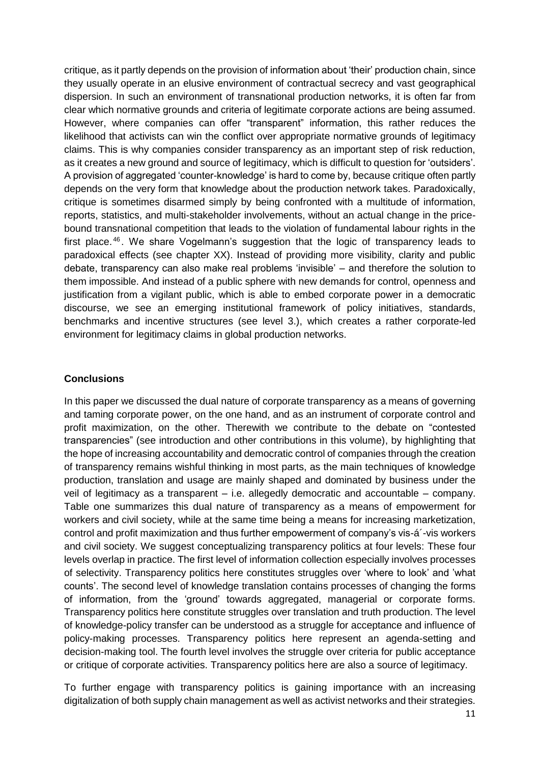critique, as it partly depends on the provision of information about 'their' production chain, since they usually operate in an elusive environment of contractual secrecy and vast geographical dispersion. In such an environment of transnational production networks, it is often far from clear which normative grounds and criteria of legitimate corporate actions are being assumed. However, where companies can offer "transparent" information, this rather reduces the likelihood that activists can win the conflict over appropriate normative grounds of legitimacy claims. This is why companies consider transparency as an important step of risk reduction, as it creates a new ground and source of legitimacy, which is difficult to question for 'outsiders'. A provision of aggregated 'counter-knowledge' is hard to come by, because critique often partly depends on the very form that knowledge about the production network takes. Paradoxically, critique is sometimes disarmed simply by being confronted with a multitude of information, reports, statistics, and multi-stakeholder involvements, without an actual change in the pricebound transnational competition that leads to the violation of fundamental labour rights in the first place.<sup>46</sup>. We share Vogelmann's suggestion that the logic of transparency leads to paradoxical effects (see chapter XX). Instead of providing more visibility, clarity and public debate, transparency can also make real problems 'invisible' – and therefore the solution to them impossible. And instead of a public sphere with new demands for control, openness and justification from a vigilant public, which is able to embed corporate power in a democratic discourse, we see an emerging institutional framework of policy initiatives, standards, benchmarks and incentive structures (see level 3.), which creates a rather corporate-led environment for legitimacy claims in global production networks.

### **Conclusions**

In this paper we discussed the dual nature of corporate transparency as a means of governing and taming corporate power, on the one hand, and as an instrument of corporate control and profit maximization, on the other. Therewith we contribute to the debate on "contested transparencies" (see introduction and other contributions in this volume), by highlighting that the hope of increasing accountability and democratic control of companies through the creation of transparency remains wishful thinking in most parts, as the main techniques of knowledge production, translation and usage are mainly shaped and dominated by business under the veil of legitimacy as a transparent – i.e. allegedly democratic and accountable – company. Table one summarizes this dual nature of transparency as a means of empowerment for workers and civil society, while at the same time being a means for increasing marketization, control and profit maximization and thus further empowerment of company's vis-á´-vis workers and civil society. We suggest conceptualizing transparency politics at four levels: These four levels overlap in practice. The first level of information collection especially involves processes of selectivity. Transparency politics here constitutes struggles over 'where to look' and 'what counts'. The second level of knowledge translation contains processes of changing the forms of information, from the 'ground' towards aggregated, managerial or corporate forms. Transparency politics here constitute struggles over translation and truth production. The level of knowledge-policy transfer can be understood as a struggle for acceptance and influence of policy-making processes. Transparency politics here represent an agenda-setting and decision-making tool. The fourth level involves the struggle over criteria for public acceptance or critique of corporate activities. Transparency politics here are also a source of legitimacy.

To further engage with transparency politics is gaining importance with an increasing digitalization of both supply chain management as well as activist networks and their strategies.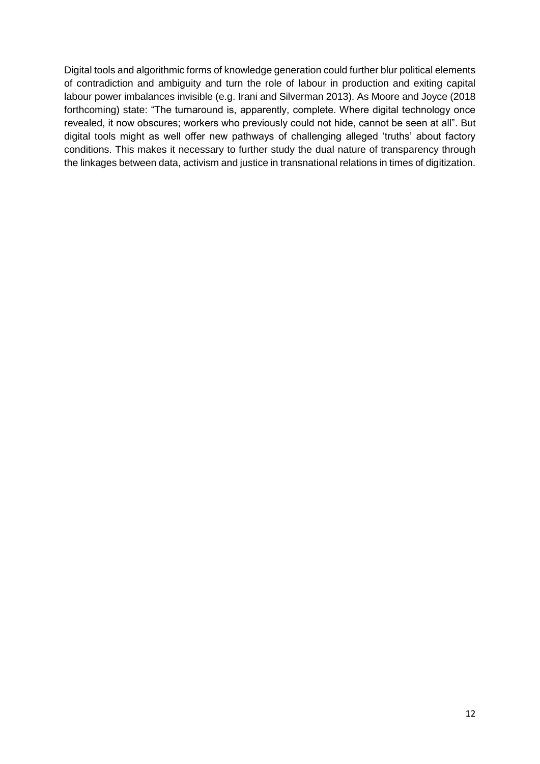Digital tools and algorithmic forms of knowledge generation could further blur political elements of contradiction and ambiguity and turn the role of labour in production and exiting capital labour power imbalances invisible (e.g. Irani and Silverman 2013). As Moore and Joyce (2018 forthcoming) state: "The turnaround is, apparently, complete. Where digital technology once revealed, it now obscures; workers who previously could not hide, cannot be seen at all". But digital tools might as well offer new pathways of challenging alleged 'truths' about factory conditions. This makes it necessary to further study the dual nature of transparency through the linkages between data, activism and justice in transnational relations in times of digitization.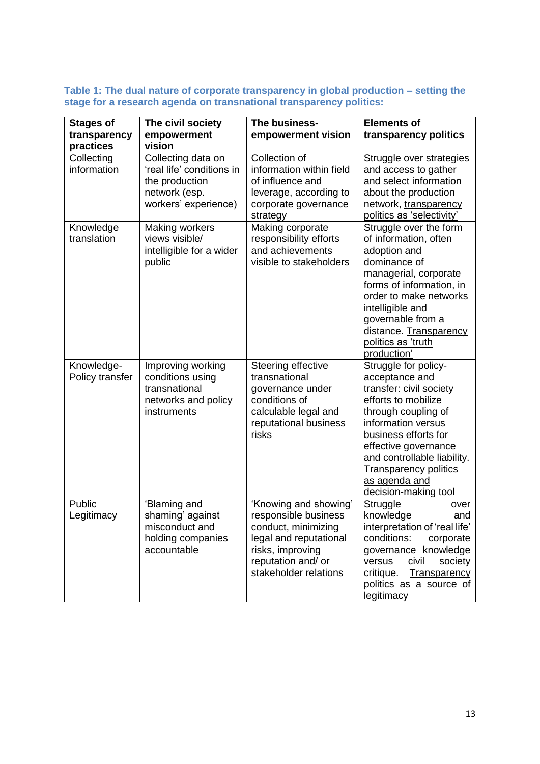## **Table 1: The dual nature of corporate transparency in global production – setting the stage for a research agenda on transnational transparency politics:**

| <b>Stages of</b><br>transparency<br>practices | The civil society<br>empowerment<br>vision                                                                 | The business-<br>empowerment vision                                                                                                                               | <b>Elements of</b><br>transparency politics                                                                                                                                                                                                                                                   |
|-----------------------------------------------|------------------------------------------------------------------------------------------------------------|-------------------------------------------------------------------------------------------------------------------------------------------------------------------|-----------------------------------------------------------------------------------------------------------------------------------------------------------------------------------------------------------------------------------------------------------------------------------------------|
| Collecting<br>information                     | Collecting data on<br>'real life' conditions in<br>the production<br>network (esp.<br>workers' experience) | Collection of<br>information within field<br>of influence and<br>leverage, according to<br>corporate governance<br>strategy                                       | Struggle over strategies<br>and access to gather<br>and select information<br>about the production<br>network, transparency<br>politics as 'selectivity'                                                                                                                                      |
| Knowledge<br>translation                      | <b>Making workers</b><br>views visible/<br>intelligible for a wider<br>public                              | Making corporate<br>responsibility efforts<br>and achievements<br>visible to stakeholders                                                                         | Struggle over the form<br>of information, often<br>adoption and<br>dominance of<br>managerial, corporate<br>forms of information, in<br>order to make networks<br>intelligible and<br>governable from a<br>distance. Transparency<br>politics as 'truth<br>production'                        |
| Knowledge-<br>Policy transfer                 | Improving working<br>conditions using<br>transnational<br>networks and policy<br>instruments               | Steering effective<br>transnational<br>governance under<br>conditions of<br>calculable legal and<br>reputational business<br>risks                                | Struggle for policy-<br>acceptance and<br>transfer: civil society<br>efforts to mobilize<br>through coupling of<br>information versus<br>business efforts for<br>effective governance<br>and controllable liability.<br><b>Transparency politics</b><br>as agenda and<br>decision-making tool |
| Public<br>Legitimacy                          | 'Blaming and<br>shaming' against<br>misconduct and<br>holding companies<br>accountable                     | 'Knowing and showing'<br>responsible business<br>conduct, minimizing<br>legal and reputational<br>risks, improving<br>reputation and/ or<br>stakeholder relations | Struggle<br>over<br>knowledge<br>and<br>interpretation of 'real life'<br>conditions:<br>corporate<br>governance knowledge<br>civil<br>society<br>versus<br>critique.<br>Transparency<br>politics as a source of<br>legitimacy                                                                 |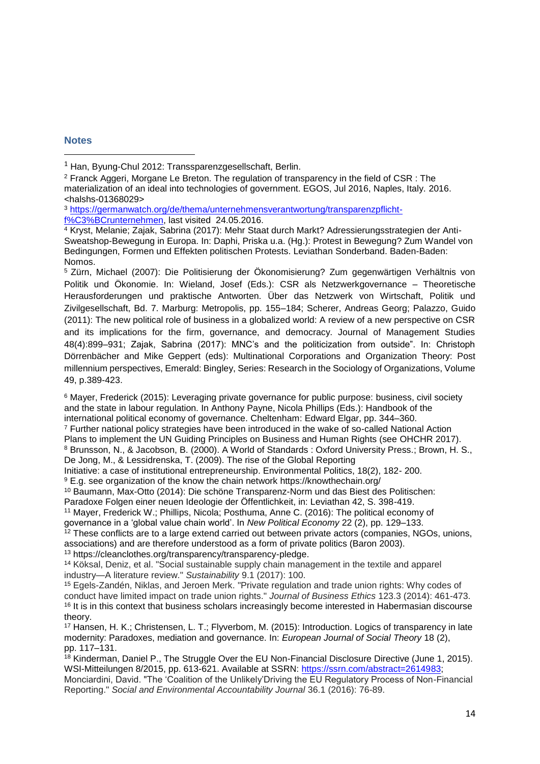#### **Notes**

**.** 

<sup>5</sup> Zürn, Michael (2007): Die Politisierung der Ökonomisierung? Zum gegenwärtigen Verhältnis von Politik und Ökonomie. In: Wieland, Josef (Eds.): CSR als Netzwerkgovernance – Theoretische Herausforderungen und praktische Antworten. Über das Netzwerk von Wirtschaft, Politik und Zivilgesellschaft, Bd. 7. Marburg: Metropolis, pp. 155–184; Scherer, Andreas Georg; Palazzo, Guido (2011): The new political role of business in a globalized world: A review of a new perspective on CSR and its implications for the firm, governance, and democracy. Journal of Management Studies 48(4):899–931; Zajak, Sabrina (2017): MNC's and the politicization from outside". In: Christoph Dörrenbächer and Mike Geppert (eds): Multinational Corporations and Organization Theory: Post millennium perspectives, Emerald: Bingley, Series: Research in the Sociology of Organizations, Volume 49, p.389-423.

<sup>6</sup> Mayer, Frederick (2015): Leveraging private governance for public purpose: business, civil society and the state in labour regulation. In Anthony Payne, Nicola Phillips (Eds.): Handbook of the international political economy of governance. Cheltenham: Edward Elgar, pp. 344–360.

<sup>7</sup> Further national policy strategies have been introduced in the wake of so-called National Action Plans to implement the UN Guiding Principles on Business and Human Rights (see OHCHR 2017). 8 Brunsson, N., & Jacobson, B. (2000). A World of Standards : Oxford University Press.; Brown, H. S., De Jong, M., & Lessidrenska, T. (2009). The rise of the Global Reporting

Initiative: a case of institutional entrepreneurship. Environmental Politics, 18(2), 182- 200.

<sup>9</sup> E.g. see organization of the know the chain network https://knowthechain.org/

<sup>10</sup> Baumann, Max-Otto (2014): Die schöne Transparenz-Norm und das Biest des Politischen:

Paradoxe Folgen einer neuen Ideologie der Öffentlichkeit, in: Leviathan 42, S. 398-419.

<sup>11</sup> Mayer, Frederick W.; Phillips, Nicola; Posthuma, Anne C. (2016): The political economy of

governance in a 'global value chain world'. In *New Political Economy* 22 (2), pp. 129–133.

<sup>12</sup> These conflicts are to a large extend carried out between private actors (companies, NGOs, unions, associations) and are therefore understood as a form of private politics (Baron 2003).

<sup>13</sup> https://cleanclothes.org/transparency/transparency-pledge.

<sup>14</sup> Köksal, Deniz, et al. "Social sustainable supply chain management in the textile and apparel industry—A literature review." *Sustainability* 9.1 (2017): 100.

<sup>15</sup> Egels-Zandén, Niklas, and Jeroen Merk. "Private regulation and trade union rights: Why codes of conduct have limited impact on trade union rights." *Journal of Business Ethics* 123.3 (2014): 461-473. <sup>16</sup> It is in this context that business scholars increasingly become interested in Habermasian discourse theory.

<sup>17</sup> Hansen, H. K.; Christensen, L. T.; Flyverbom, M. (2015): Introduction. Logics of transparency in late modernity: Paradoxes, mediation and governance. In: *European Journal of Social Theory* 18 (2), pp. 117–131.

18 Kinderman, Daniel P., The Struggle Over the EU Non-Financial Disclosure Directive (June 1, 2015). WSI-Mitteilungen 8/2015, pp. 613-621. Available at SSRN: [https://ssrn.com/abstract=2614983;](https://ssrn.com/abstract=2614983) Monciardini, David. "The 'Coalition of the Unlikely'Driving the EU Regulatory Process of Non-Financial Reporting." *Social and Environmental Accountability Journal* 36.1 (2016): 76-89.

<sup>1</sup> Han, Byung-Chul 2012: Transsparenzgesellschaft, Berlin.

<sup>2</sup> Franck Aggeri, Morgane Le Breton. The regulation of transparency in the field of CSR : The materialization of an ideal into technologies of government. EGOS, Jul 2016, Naples, Italy. 2016. <halshs-01368029>

<sup>3</sup> [https://germanwatch.org/de/thema/unternehmensverantwortung/transparenzpflicht](https://germanwatch.org/de/thema/unternehmensverantwortung/transparenzpflicht-f%C3%BCrunternehmen)[f%C3%BCrunternehmen,](https://germanwatch.org/de/thema/unternehmensverantwortung/transparenzpflicht-f%C3%BCrunternehmen) last visited 24.05.2016.

<sup>4</sup> Kryst, Melanie; Zajak, Sabrina (2017): Mehr Staat durch Markt? Adressierungsstrategien der Anti-Sweatshop-Bewegung in Europa. In: Daphi, Priska u.a. (Hg.): Protest in Bewegung? Zum Wandel von Bedingungen, Formen und Effekten politischen Protests. Leviathan Sonderband. Baden-Baden: Nomos.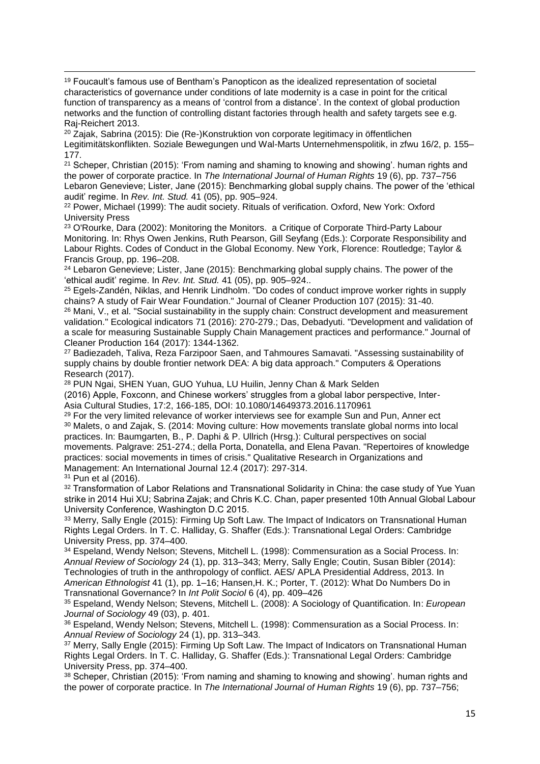<sup>19</sup> Foucault's famous use of Bentham's Panopticon as the idealized representation of societal characteristics of governance under conditions of late modernity is a case in point for the critical function of transparency as a means of 'control from a distance'. In the context of global production networks and the function of controlling distant factories through health and safety targets see e.g. Raj-Reichert 2013.

<sup>20</sup> Zajak, Sabrina (2015): Die (Re-)Konstruktion von corporate legitimacy in öffentlichen Legitimitätskonflikten. Soziale Bewegungen und Wal-Marts Unternehmenspolitik, in zfwu 16/2, p. 155– 177.

<sup>21</sup> Scheper, Christian (2015): 'From naming and shaming to knowing and showing'. human rights and the power of corporate practice. In *The International Journal of Human Rights* 19 (6), pp. 737–756 Lebaron Genevieve; Lister, Jane (2015): Benchmarking global supply chains. The power of the 'ethical audit' regime. In *Rev. Int. Stud.* 41 (05), pp. 905–924.

<sup>22</sup> Power, Michael (1999): The audit society. Rituals of verification. Oxford, New York: Oxford University Press

<sup>23</sup> O'Rourke, Dara (2002): Monitoring the Monitors. a Critique of Corporate Third-Party Labour Monitoring. In: Rhys Owen Jenkins, Ruth Pearson, Gill Seyfang (Eds.): Corporate Responsibility and Labour Rights. Codes of Conduct in the Global Economy. New York, Florence: Routledge; Taylor & Francis Group, pp. 196–208.

 $24$  Lebaron Genevieve; Lister, Jane (2015): Benchmarking global supply chains. The power of the 'ethical audit' regime. In *Rev. Int. Stud.* 41 (05), pp. 905–924..

<sup>25</sup> Egels-Zandén, Niklas, and Henrik Lindholm. "Do codes of conduct improve worker rights in supply chains? A study of Fair Wear Foundation." Journal of Cleaner Production 107 (2015): 31-40.

<sup>26</sup> Mani, V., et al. "Social sustainability in the supply chain: Construct development and measurement validation." Ecological indicators 71 (2016): 270-279.; Das, Debadyuti. "Development and validation of a scale for measuring Sustainable Supply Chain Management practices and performance." Journal of Cleaner Production 164 (2017): 1344-1362.

<sup>27</sup> Badiezadeh, Taliva, Reza Farzipoor Saen, and Tahmoures Samavati. "Assessing sustainability of supply chains by double frontier network DEA: A big data approach." Computers & Operations Research (2017).

<sup>28</sup> PUN Ngai, SHEN Yuan, GUO Yuhua, LU Huilin, Jenny Chan & Mark Selden (2016) Apple, Foxconn, and Chinese workers' struggles from a global labor perspective, Inter-Asia Cultural Studies, 17:2, 166-185, DOI: 10.1080/14649373.2016.1170961

<sup>29</sup> For the very limited relevance of worker interviews see for example Sun and Pun, Anner ect <sup>30</sup> Malets, o and Zajak, S. (2014: Moving culture: How movements translate global norms into local practices. In: Baumgarten, B., P. Daphi & P. Ullrich (Hrsg.): Cultural perspectives on social movements. Palgrave: 251-274.; della Porta, Donatella, and Elena Pavan. "Repertoires of knowledge practices: social movements in times of crisis." Qualitative Research in Organizations and Management: An International Journal 12.4 (2017): 297-314.

<sup>31</sup> Pun et al (2016).

 $\overline{a}$ 

32 Transformation of Labor Relations and Transnational Solidarity in China: the case study of Yue Yuan strike in 2014 Hui XU; Sabrina Zajak; and Chris K.C. Chan, paper presented 10th Annual Global Labour University Conference, Washington D.C 2015.

33 Merry, Sally Engle (2015): Firming Up Soft Law. The Impact of Indicators on Transnational Human Rights Legal Orders. In T. C. Halliday, G. Shaffer (Eds.): Transnational Legal Orders: Cambridge University Press, pp. 374–400.

<sup>34</sup> Espeland, Wendy Nelson; Stevens, Mitchell L. (1998): Commensuration as a Social Process. In: *Annual Review of Sociology* 24 (1), pp. 313–343; Merry, Sally Engle; Coutin, Susan Bibler (2014): Technologies of truth in the anthropology of conflict. AES/ APLA Presidential Address, 2013. In *American Ethnologist* 41 (1), pp. 1–16; Hansen,H. K.; Porter, T. (2012): What Do Numbers Do in Transnational Governance? In *Int Polit Sociol* 6 (4), pp. 409–426

<sup>35</sup> Espeland, Wendy Nelson; Stevens, Mitchell L. (2008): A Sociology of Quantification. In: *European Journal of Sociology* 49 (03), p. 401.

<sup>36</sup> Espeland, Wendy Nelson; Stevens, Mitchell L. (1998): Commensuration as a Social Process. In: *Annual Review of Sociology* 24 (1), pp. 313–343.

<sup>37</sup> Merry, Sally Engle (2015): Firming Up Soft Law. The Impact of Indicators on Transnational Human Rights Legal Orders. In T. C. Halliday, G. Shaffer (Eds.): Transnational Legal Orders: Cambridge University Press, pp. 374–400.

<sup>38</sup> Scheper, Christian (2015): 'From naming and shaming to knowing and showing'. human rights and the power of corporate practice. In *The International Journal of Human Rights* 19 (6), pp. 737–756;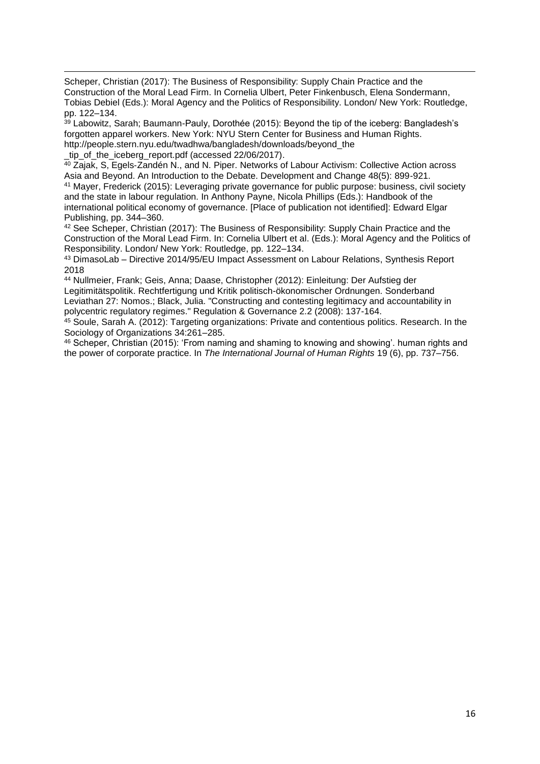Scheper, Christian (2017): The Business of Responsibility: Supply Chain Practice and the Construction of the Moral Lead Firm. In Cornelia Ulbert, Peter Finkenbusch, Elena Sondermann, Tobias Debiel (Eds.): Moral Agency and the Politics of Responsibility. London/ New York: Routledge, pp. 122–134.

<sup>39</sup> Labowitz, Sarah; Baumann-Pauly, Dorothée (2015): Beyond the tip of the iceberg: Bangladesh's forgotten apparel workers. New York: NYU Stern Center for Business and Human Rights. http://people.stern.nyu.edu/twadhwa/bangladesh/downloads/beyond\_the

tip of the iceberg report.pdf (accessed 22/06/2017).

 $\overline{a}$ 

<sup>40</sup> Zaiak, S, Egels-Zandén N., and N. Piper. Networks of Labour Activism: Collective Action across Asia and Beyond. An Introduction to the Debate. Development and Change 48(5): 899-921. <sup>41</sup> Mayer, Frederick (2015): Leveraging private governance for public purpose: business, civil society and the state in labour regulation. In Anthony Payne, Nicola Phillips (Eds.): Handbook of the international political economy of governance. [Place of publication not identified]: Edward Elgar Publishing, pp. 344–360.

<sup>42</sup> See Scheper, Christian (2017): The Business of Responsibility: Supply Chain Practice and the Construction of the Moral Lead Firm. In: Cornelia Ulbert et al. (Eds.): Moral Agency and the Politics of Responsibility. London/ New York: Routledge, pp. 122–134.

<sup>43</sup> DimasoLab – Directive 2014/95/EU Impact Assessment on Labour Relations, Synthesis Report 2018

<sup>44</sup> Nullmeier, Frank; Geis, Anna; Daase, Christopher (2012): Einleitung: Der Aufstieg der Legitimitätspolitik. Rechtfertigung und Kritik politisch-ökonomischer Ordnungen. Sonderband Leviathan 27: Nomos.; Black, Julia. "Constructing and contesting legitimacy and accountability in polycentric regulatory regimes." Regulation & Governance 2.2 (2008): 137-164.

<sup>45</sup> Soule, Sarah A. (2012): Targeting organizations: Private and contentious politics. Research. In the Sociology of Organizations 34:261–285.

<sup>46</sup> Scheper, Christian (2015): 'From naming and shaming to knowing and showing'. human rights and the power of corporate practice. In *The International Journal of Human Rights* 19 (6), pp. 737–756.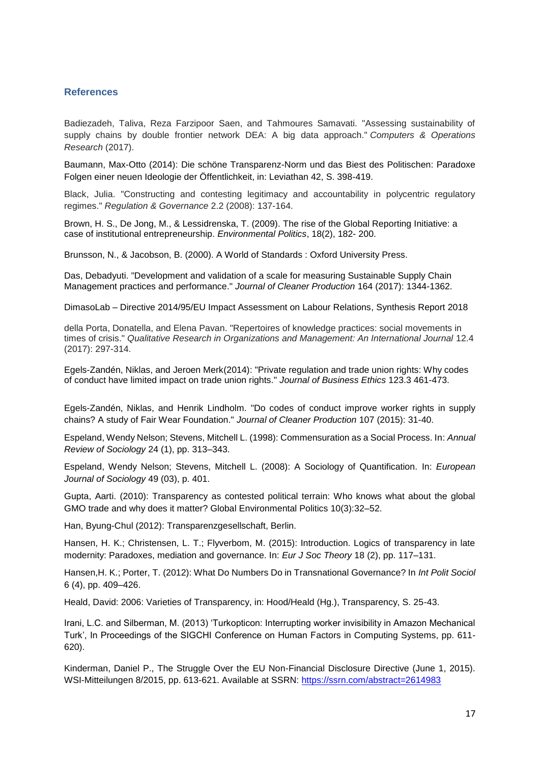#### **References**

Badiezadeh, Taliva, Reza Farzipoor Saen, and Tahmoures Samavati. "Assessing sustainability of supply chains by double frontier network DEA: A big data approach." *Computers & Operations Research* (2017).

Baumann, Max-Otto (2014): Die schöne Transparenz-Norm und das Biest des Politischen: Paradoxe Folgen einer neuen Ideologie der Öffentlichkeit, in: Leviathan 42, S. 398-419.

Black, Julia. "Constructing and contesting legitimacy and accountability in polycentric regulatory regimes." *Regulation & Governance* 2.2 (2008): 137-164.

Brown, H. S., De Jong, M., & Lessidrenska, T. (2009). The rise of the Global Reporting Initiative: a case of institutional entrepreneurship. *Environmental Politics*, 18(2), 182- 200.

Brunsson, N., & Jacobson, B. (2000). A World of Standards : Oxford University Press.

Das, Debadyuti. "Development and validation of a scale for measuring Sustainable Supply Chain Management practices and performance." *Journal of Cleaner Production* 164 (2017): 1344-1362.

DimasoLab – Directive 2014/95/EU Impact Assessment on Labour Relations, Synthesis Report 2018

della Porta, Donatella, and Elena Pavan. "Repertoires of knowledge practices: social movements in times of crisis." *Qualitative Research in Organizations and Management: An International Journal* 12.4 (2017): 297-314.

Egels-Zandén, Niklas, and Jeroen Merk(2014): "Private regulation and trade union rights: Why codes of conduct have limited impact on trade union rights." *Journal of Business Ethics* 123.3 461-473.

Egels-Zandén, Niklas, and Henrik Lindholm. "Do codes of conduct improve worker rights in supply chains? A study of Fair Wear Foundation." *Journal of Cleaner Production* 107 (2015): 31-40.

Espeland, Wendy Nelson; Stevens, Mitchell L. (1998): Commensuration as a Social Process. In: *Annual Review of Sociology* 24 (1), pp. 313–343.

Espeland, Wendy Nelson; Stevens, Mitchell L. (2008): A Sociology of Quantification. In: *European Journal of Sociology* 49 (03), p. 401.

Gupta, Aarti. (2010): Transparency as contested political terrain: Who knows what about the global GMO trade and why does it matter? Global Environmental Politics 10(3):32–52.

Han, Byung-Chul (2012): Transparenzgesellschaft, Berlin.

Hansen, H. K.; Christensen, L. T.; Flyverbom, M. (2015): Introduction. Logics of transparency in late modernity: Paradoxes, mediation and governance. In: *Eur J Soc Theory* 18 (2), pp. 117–131.

Hansen,H. K.; Porter, T. (2012): What Do Numbers Do in Transnational Governance? In *Int Polit Sociol*  6 (4), pp. 409–426.

Heald, David: 2006: Varieties of Transparency, in: Hood/Heald (Hg.), Transparency, S. 25-43.

Irani, L.C. and Silberman, M. (2013) 'Turkopticon: Interrupting worker invisibility in Amazon Mechanical Turk', In Proceedings of the SIGCHI Conference on Human Factors in Computing Systems, pp. 611- 620).

Kinderman, Daniel P., The Struggle Over the EU Non-Financial Disclosure Directive (June 1, 2015). WSI-Mitteilungen 8/2015, pp. 613-621. Available at SSRN:<https://ssrn.com/abstract=2614983>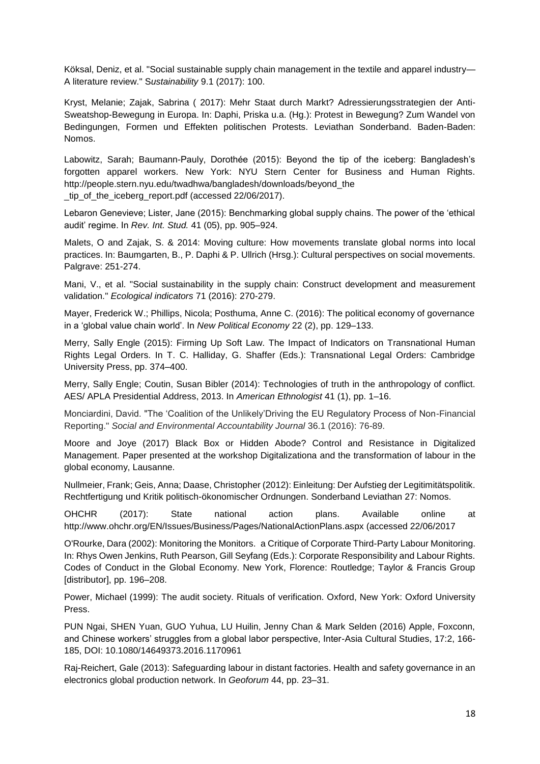Köksal, Deniz, et al. "Social sustainable supply chain management in the textile and apparel industry— A literature review." S*ustainability* 9.1 (2017): 100.

Kryst, Melanie; Zajak, Sabrina ( 2017): Mehr Staat durch Markt? Adressierungsstrategien der Anti-Sweatshop-Bewegung in Europa. In: Daphi, Priska u.a. (Hg.): Protest in Bewegung? Zum Wandel von Bedingungen, Formen und Effekten politischen Protests. Leviathan Sonderband. Baden-Baden: Nomos.

Labowitz, Sarah; Baumann-Pauly, Dorothée (2015): Beyond the tip of the iceberg: Bangladesh's forgotten apparel workers. New York: NYU Stern Center for Business and Human Rights. http://people.stern.nyu.edu/twadhwa/bangladesh/downloads/beyond\_the tip\_of\_the\_iceberg\_report.pdf (accessed 22/06/2017).

Lebaron Genevieve; Lister, Jane (2015): Benchmarking global supply chains. The power of the 'ethical audit' regime. In *Rev. Int. Stud.* 41 (05), pp. 905–924.

Malets, O and Zajak, S. & 2014: Moving culture: How movements translate global norms into local practices. In: Baumgarten, B., P. Daphi & P. Ullrich (Hrsg.): Cultural perspectives on social movements. Palgrave: 251-274.

Mani, V., et al. "Social sustainability in the supply chain: Construct development and measurement validation." *Ecological indicators* 71 (2016): 270-279.

Mayer, Frederick W.; Phillips, Nicola; Posthuma, Anne C. (2016): The political economy of governance in a 'global value chain world'. In *New Political Economy* 22 (2), pp. 129–133.

Merry, Sally Engle (2015): Firming Up Soft Law. The Impact of Indicators on Transnational Human Rights Legal Orders. In T. C. Halliday, G. Shaffer (Eds.): Transnational Legal Orders: Cambridge University Press, pp. 374–400.

Merry, Sally Engle; Coutin, Susan Bibler (2014): Technologies of truth in the anthropology of conflict. AES/ APLA Presidential Address, 2013. In *American Ethnologist* 41 (1), pp. 1–16.

Monciardini, David. "The 'Coalition of the Unlikely'Driving the EU Regulatory Process of Non-Financial Reporting." *Social and Environmental Accountability Journal* 36.1 (2016): 76-89.

Moore and Joye (2017) Black Box or Hidden Abode? Control and Resistance in Digitalized Management. Paper presented at the workshop Digitalizationa and the transformation of labour in the global economy, Lausanne.

Nullmeier, Frank; Geis, Anna; Daase, Christopher (2012): Einleitung: Der Aufstieg der Legitimitätspolitik. Rechtfertigung und Kritik politisch-ökonomischer Ordnungen. Sonderband Leviathan 27: Nomos.

OHCHR (2017): State national action plans. Available online at http://www.ohchr.org/EN/Issues/Business/Pages/NationalActionPlans.aspx (accessed 22/06/2017

O'Rourke, Dara (2002): Monitoring the Monitors. a Critique of Corporate Third-Party Labour Monitoring. In: Rhys Owen Jenkins, Ruth Pearson, Gill Seyfang (Eds.): Corporate Responsibility and Labour Rights. Codes of Conduct in the Global Economy. New York, Florence: Routledge; Taylor & Francis Group [distributor], pp. 196–208.

Power, Michael (1999): The audit society. Rituals of verification. Oxford, New York: Oxford University Press.

PUN Ngai, SHEN Yuan, GUO Yuhua, LU Huilin, Jenny Chan & Mark Selden (2016) Apple, Foxconn, and Chinese workers' struggles from a global labor perspective, Inter-Asia Cultural Studies, 17:2, 166- 185, DOI: 10.1080/14649373.2016.1170961

Raj-Reichert, Gale (2013): Safeguarding labour in distant factories. Health and safety governance in an electronics global production network. In *Geoforum* 44, pp. 23–31.